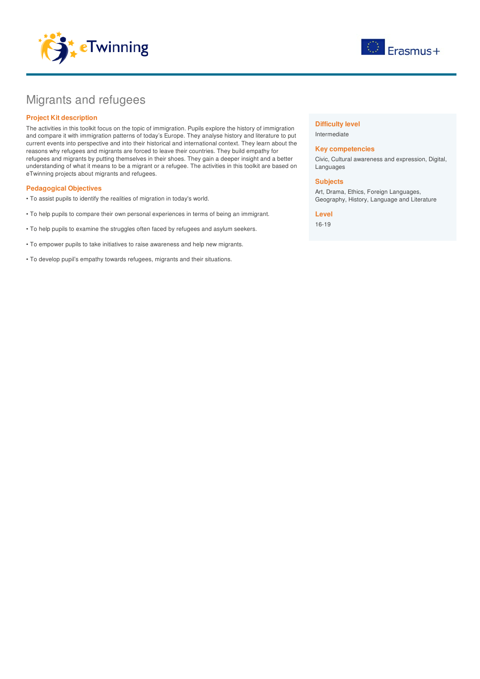



# Migrants and refugees

# **Project Kit description**

The activities in this toolkit focus on the topic of immigration. Pupils explore the history of immigration and compare it with immigration patterns of today's Europe. They analyse history and literature to put current events into perspective and into their historical and international context. They learn about the reasons why refugees and migrants are forced to leave their countries. They build empathy for refugees and migrants by putting themselves in their shoes. They gain a deeper insight and a better understanding of what it means to be a migrant or a refugee. The activities in this toolkit are based on eTwinning projects about migrants and refugees.

# **Pedagogical Objectives**

- To assist pupils to identify the realities of migration in today's world.
- To help pupils to compare their own personal experiences in terms of being an immigrant.
- To help pupils to examine the struggles often faced by refugees and asylum seekers.
- To empower pupils to take initiatives to raise awareness and help new migrants.
- To develop pupil's empathy towards refugees, migrants and their situations.

### **Difficulty level**

Intermediate

## **Key competencies**

Civic, Cultural awareness and expression, Digital, Languages

#### **Subjects**

Art, Drama, Ethics, Foreign Languages, Geography, History, Language and Literature

# **Level**

16-19